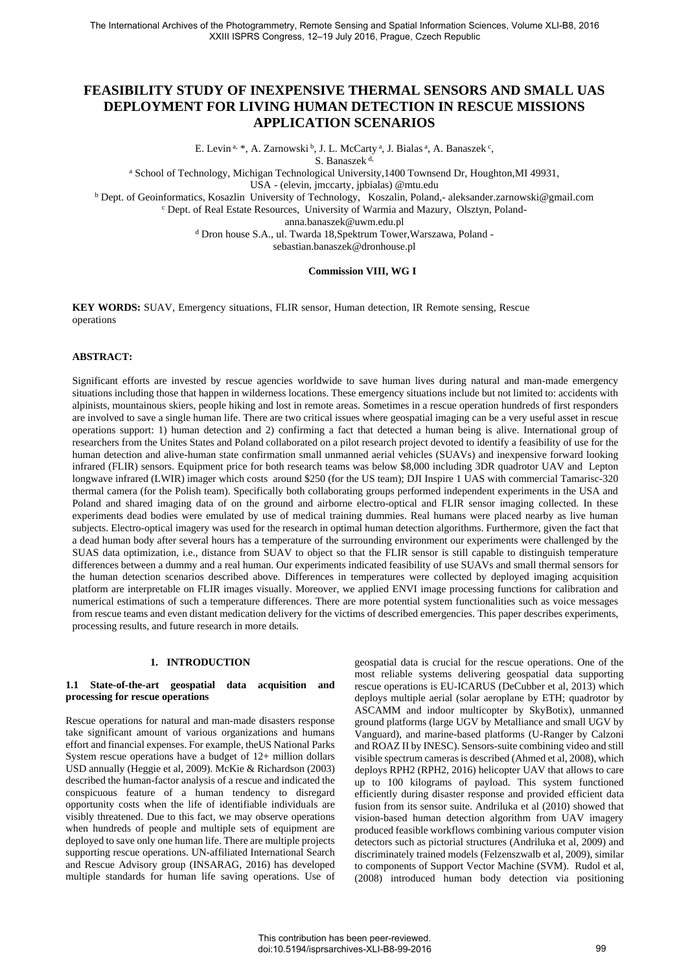# **FEASIBILITY STUDY OF INEXPENSIVE THERMAL SENSORS AND SMALL UAS DEPLOYMENT FOR LIVING HUMAN DETECTION IN RESCUE MISSIONS APPLICATION SCENARIOS**

E. Levin<sup>a, \*</sup>, A. Zarnowski<sup>b</sup>, J. L. McCarty<sup>a</sup>, J. Bialas<sup>a</sup>, A. Banaszek<sup>c</sup>,

S. Banaszek<sup>d,</sup>

<sup>a</sup> School of Technology, Michigan Technological University,1400 Townsend Dr, Houghton,MI 49931,

USA - (elevin, jmccarty, jpbiala[s\) @mtu.edu](mailto:seker)@itu.edu.tr)

<sup>b</sup> Dept. of Geoinformatics, Kosazlin University of Technology, Koszalin, Poland,- aleksander.zarnowski@gmail.com

c Dept. of Real Estate Resources, University of Warmia and Mazury, Olsztyn, Poland[-](mailto:%20heipke@ipi.uni-hannover.de)

anna.banaszek@uwm.edu.pl

d Dron house S.A., ul. Twarda 18,Spektrum Tower,Warszawa, Poland -

sebastian.banaszek@dronhouse.pl

## **Commission VIII, WG I**

**KEY WORDS:** SUAV, Emergency situations, FLIR sensor, Human detection, IR Remote sensing, Rescue operations

#### **ABSTRACT:**

Significant efforts are invested by rescue agencies worldwide to save human lives during natural and man-made emergency situations including those that happen in wilderness locations. These emergency situations include but not limited to: accidents with alpinists, mountainous skiers, people hiking and lost in remote areas. Sometimes in a rescue operation hundreds of first responders are involved to save a single human life. There are two critical issues where geospatial imaging can be a very useful asset in rescue operations support: 1) human detection and 2) confirming a fact that detected a human being is alive. International group of researchers from the Unites States and Poland collaborated on a pilot research project devoted to identify a feasibility of use for the human detection and alive-human state confirmation small unmanned aerial vehicles (SUAVs) and inexpensive forward looking infrared (FLIR) sensors. Equipment price for both research teams was below \$8,000 including 3DR quadrotor UAV and Lepton longwave infrared (LWIR) imager which costs around \$250 (for the US team); DJI Inspire 1 UAS with commercial Tamarisc-320 thermal camera (for the Polish team). Specifically both collaborating groups performed independent experiments in the USA and Poland and shared imaging data of on the ground and airborne electro-optical and FLIR sensor imaging collected. In these experiments dead bodies were emulated by use of medical training dummies. Real humans were placed nearby as live human subjects. Electro-optical imagery was used for the research in optimal human detection algorithms. Furthermore, given the fact that a dead human body after several hours has a temperature of the surrounding environment our experiments were challenged by the SUAS data optimization, i.e., distance from SUAV to object so that the FLIR sensor is still capable to distinguish temperature differences between a dummy and a real human. Our experiments indicated feasibility of use SUAVs and small thermal sensors for the human detection scenarios described above. Differences in temperatures were collected by deployed imaging acquisition platform are interpretable on FLIR images visually. Moreover, we applied ENVI image processing functions for calibration and numerical estimations of such a temperature differences. There are more potential system functionalities such as voice messages from rescue teams and even distant medication delivery for the victims of described emergencies. This paper describes experiments, processing results, and future research in more details.

### **1. INTRODUCTION**

#### **1.1 State-of-the-art geospatial data acquisition and processing for rescue operations**

Rescue operations for natural and man-made disasters response take significant amount of various organizations and humans effort and financial expenses. For example, theUS National Parks System rescue operations have a budget of 12+ million dollars USD annually (Heggie et al, 2009). McKie & Richardson (2003) described the human-factor analysis of a rescue and indicated the conspicuous feature of a human tendency to disregard opportunity costs when the life of identifiable individuals are visibly threatened. Due to this fact, we may observe operations when hundreds of people and multiple sets of equipment are deployed to save only one human life. There are multiple projects supporting rescue operations. UN-affiliated International Search and Rescue Advisory group (INSARAG, 2016) has developed multiple standards for human life saving operations. Use of geospatial data is crucial for the rescue operations. One of the most reliable systems delivering geospatial data supporting rescue operations is EU-ICARUS (DeCubber et al, 2013) which deploys multiple aerial (solar aeroplane by ETH; quadrotor by ASCAMM and indoor multicopter by SkyBotix), unmanned ground platforms (large UGV by Metalliance and small UGV by Vanguard), and marine-based platforms (U-Ranger by Calzoni and ROAZ II by INESC). Sensors-suite combining video and still visible spectrum cameras is described (Ahmed et al, 2008), which deploys RPH2 (RPH2, 2016) helicopter UAV that allows to care up to 100 kilograms of payload. This system functioned efficiently during disaster response and provided efficient data fusion from its sensor suite. Andriluka et al (2010) showed that vision-based human detection algorithm from UAV imagery produced feasible workflows combining various computer vision detectors such as pictorial structures (Andriluka et al, 2009) and discriminately trained models (Felzenszwalb et al, 2009), similar to components of Support Vector Machine (SVM). Rudol et al, (2008) introduced human body detection via positioning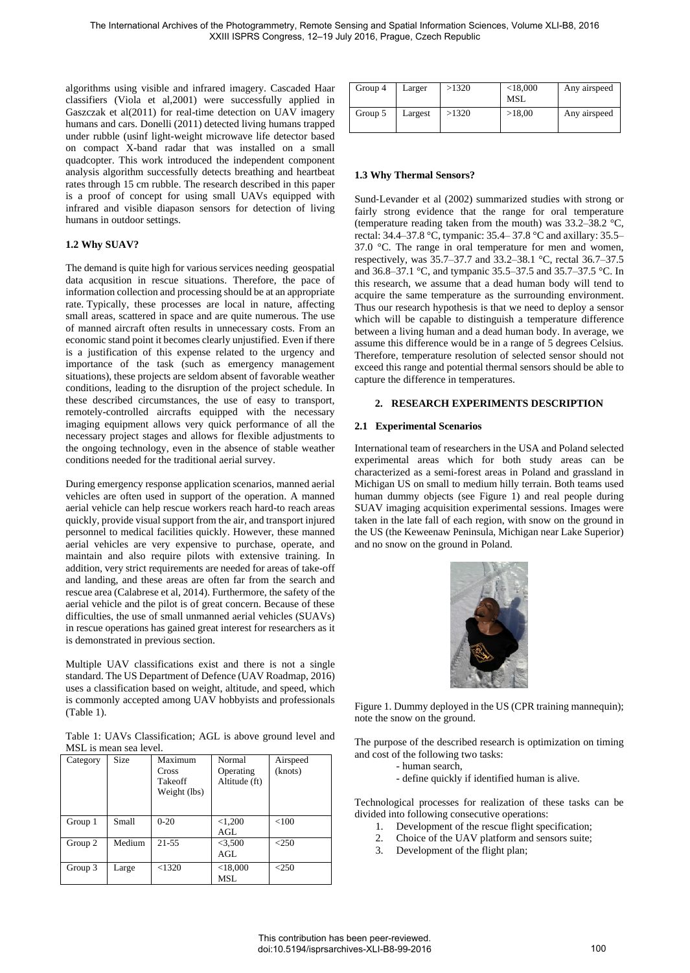algorithms using visible and infrared imagery. Cascaded Haar classifiers (Viola et al,2001) were successfully applied in Gaszczak et al(2011) for real-time detection on UAV imagery humans and cars. Donelli (2011) detected living humans trapped under rubble (usinf light-weight microwave life detector based on compact X-band radar that was installed on a small quadcopter. This work introduced the independent component analysis algorithm successfully detects breathing and heartbeat rates through 15 cm rubble. The research described in this paper is a proof of concept for using small UAVs equipped with infrared and visible diapason sensors for detection of living humans in outdoor settings.

## **1.2 Why SUAV?**

The demand is quite high for various services needing geospatial data acqusition in rescue situations. Therefore, the pace of information collection and processing should be at an appropriate rate. Typically, these processes are local in nature, affecting small areas, scattered in space and are quite numerous. The use of manned aircraft often results in unnecessary costs. From an economic stand point it becomes clearly unjustified. Even if there is a justification of this expense related to the urgency and importance of the task (such as emergency management situations), these projects are seldom absent of favorable weather conditions, leading to the disruption of the project schedule. In these described circumstances, the use of easy to transport, remotely-controlled aircrafts equipped with the necessary imaging equipment allows very quick performance of all the necessary project stages and allows for flexible adjustments to the ongoing technology, even in the absence of stable weather conditions needed for the traditional aerial survey.

During emergency response application scenarios, manned aerial vehicles are often used in support of the operation. A manned aerial vehicle can help rescue workers reach hard-to reach areas quickly, provide visual support from the air, and transport injured personnel to medical facilities quickly. However, these manned aerial vehicles are very expensive to purchase, operate, and maintain and also require pilots with extensive training. In addition, very strict requirements are needed for areas of take-off and landing, and these areas are often far from the search and rescue area (Calabrese et al, 2014). Furthermore, the safety of the aerial vehicle and the pilot is of great concern. Because of these difficulties, the use of small unmanned aerial vehicles (SUAVs) in rescue operations has gained great interest for researchers as it is demonstrated in previous section.

Multiple UAV classifications exist and there is not a single standard. The US Department of Defence (UAV Roadmap, 2016) uses a classification based on weight, altitude, and speed, which is commonly accepted among UAV hobbyists and professionals (Table 1).

Table 1: UAVs Classification; AGL is above ground level and MSL is mean sea level.

| Category | Size   | Maximum<br>Cross<br>Takeoff<br>Weight (lbs) | Normal<br>Operating<br>Altitude (ft) | Airspeed<br>(knots) |
|----------|--------|---------------------------------------------|--------------------------------------|---------------------|
| Group 1  | Small  | $0 - 20$                                    | < 1,200<br>AGL                       | < 100               |
| Group 2  | Medium | $21 - 55$                                   | < 3,500<br>AGL                       | < 250               |
| Group 3  | Large  | < 1320                                      | < 18,000<br>MSL                      | $<$ 250             |

| Group 4 | Larger  | >1320 | < 18,000<br>MSL | Any airspeed |
|---------|---------|-------|-----------------|--------------|
| Group 5 | Largest | >1320 | >18,00          | Any airspeed |

## **1.3 Why Thermal Sensors?**

Sund‐Levander et al (2002) summarized studies with strong or fairly strong evidence that the range for oral temperature (temperature reading taken from the mouth) was 33.2–38.2 °C, rectal: 34.4–37.8 °C, tympanic: 35.4– 37.8 °C and axillary: 35.5– 37.0 °C. The range in oral temperature for men and women, respectively, was 35.7–37.7 and 33.2–38.1 °C, rectal 36.7–37.5 and 36.8–37.1 °C, and tympanic 35.5–37.5 and 35.7–37.5 °C. In this research, we assume that a dead human body will tend to acquire the same temperature as the surrounding environment. Thus our research hypothesis is that we need to deploy a sensor which will be capable to distinguish a temperature difference between a living human and a dead human body. In average, we assume this difference would be in a range of 5 degrees Celsius. Therefore, temperature resolution of selected sensor should not exceed this range and potential thermal sensors should be able to capture the difference in temperatures.

## **2. RESEARCH EXPERIMENTS DESCRIPTION**

#### **2.1 Experimental Scenarios**

International team of researchers in the USA and Poland selected experimental areas which for both study areas can be characterized as a semi-forest areas in Poland and grassland in Michigan US on small to medium hilly terrain. Both teams used human dummy objects (see Figure 1) and real people during SUAV imaging acquisition experimental sessions. Images were taken in the late fall of each region, with snow on the ground in the US (the Keweenaw Peninsula, Michigan near Lake Superior) and no snow on the ground in Poland.



Figure 1. Dummy deployed in the US (CPR training mannequin); note the snow on the ground.

The purpose of the described research is optimization on timing and cost of the following two tasks:

- human search,
	- define quickly if identified human is alive.

Technological processes for realization of these tasks can be divided into following consecutive operations:

- 1. Development of the rescue flight specification;
- 2. Choice of the UAV platform and sensors suite;
- 3. Development of the flight plan;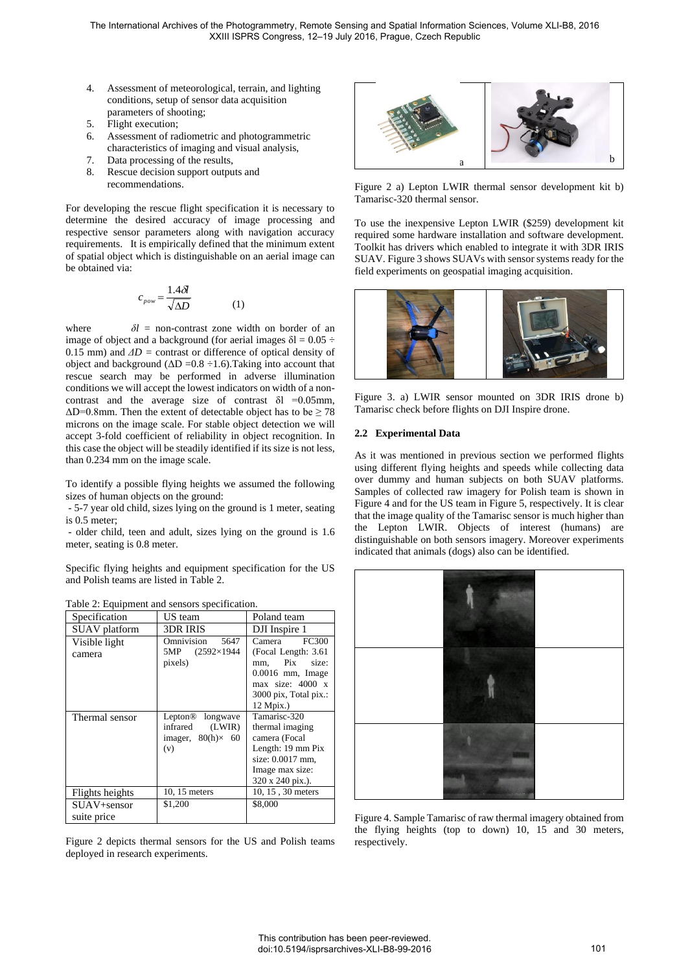- 4. Assessment of meteorological, terrain, and lighting conditions, setup of sensor data acquisition parameters of shooting;
- 5. Flight execution;
- 6. Assessment of radiometric and photogrammetric characteristics of imaging and visual analysis,
- 7. Data processing of the results,
- 8. Rescue decision support outputs and recommendations.

For developing the rescue flight specification it is necessary to determine the desired accuracy of image processing and respective sensor parameters along with navigation accuracy requirements. It is empirically defined that the minimum extent of spatial object which is distinguishable on an aerial image can be obtained via:

$$
c_{pow} = \frac{1.4\delta l}{\sqrt{\Delta D}}\tag{1}
$$

where  $\delta l =$  non-contrast zone width on border of an image of object and a background (for aerial images  $\delta$ l = 0.05 ÷ 0.15 mm) and  $\Delta D$  = contrast or difference of optical density of object and background  $(\Delta D = 0.8 \div 1.6)$ . Taking into account that rescue search may be performed in adverse illumination conditions we will accept the lowest indicators on width of a noncontrast and the average size of contrast  $\delta$ l =0.05mm,  $\Delta D$ =0.8mm. Then the extent of detectable object has to be  $\geq 78$ microns on the image scale. For stable object detection we will accept 3-fold coefficient of reliability in object recognition. In this case the object will be steadily identified if its size is not less, than 0.234 mm on the image scale.

To identify a possible flying heights we assumed the following sizes of human objects on the ground:

 - 5-7 year old child, sizes lying on the ground is 1 meter, seating is 0.5 meter;

 - older child, teen and adult, sizes lying on the ground is 1.6 meter, seating is 0.8 meter.

Specific flying heights and equipment specification for the US and Polish teams are listed in Table 2.

 $m + 12m +$ Table 2: Equipment and sensors specification.

| Table 2: Equipment and sensors specification. |                                                                                           |                                                                                                                                            |  |  |  |
|-----------------------------------------------|-------------------------------------------------------------------------------------------|--------------------------------------------------------------------------------------------------------------------------------------------|--|--|--|
| Specification                                 | US team                                                                                   | Poland team                                                                                                                                |  |  |  |
| SUAV platform                                 | 3DR IRIS                                                                                  | DJI Inspire 1                                                                                                                              |  |  |  |
| Visible light<br>camera                       | Omnivision<br>5647<br>5MP (2592×1944)<br>pixels)                                          | <b>FC300</b><br>Camera<br>(Focal Length: 3.61)<br>size:<br>Pix<br>mm,<br>$0.0016$ mm, Image<br>$max$ size: 4000 x<br>3000 pix, Total pix.: |  |  |  |
|                                               |                                                                                           | 12 Mpix.)                                                                                                                                  |  |  |  |
| Thermal sensor                                | Lepton <sup>®</sup><br>longwave<br>infrared<br>(LWIR)<br>imager, $80(h) \times 60$<br>(v) | Tamarisc-320<br>thermal imaging<br>camera (Focal<br>Length: 19 mm Pix<br>size: 0.0017 mm,<br>Image max size:<br>320 x 240 pix.).           |  |  |  |
| Flights heights                               | 10, 15 meters                                                                             | 10, 15, 30 meters                                                                                                                          |  |  |  |
| SUAV+sensor<br>suite price                    | \$1,200                                                                                   | \$8,000                                                                                                                                    |  |  |  |

Figure 2 depicts thermal sensors for the US and Polish teams deployed in research experiments.



Figure 2 a) Lepton LWIR thermal sensor development kit b) Tamarisc-320 thermal sensor.

To use the inexpensive Lepton LWIR (\$259) development kit required some hardware installation and software development. Toolkit has drivers which enabled to integrate it with 3DR IRIS SUAV. Figure 3 shows SUAVs with sensor systems ready for the field experiments on geospatial imaging acquisition.



Figure 3. a) LWIR sensor mounted on 3DR IRIS drone b) Tamarisc check before flights on DJI Inspire drone.

## **2.2 Experimental Data**

As it was mentioned in previous section we performed flights using different flying heights and speeds while collecting data over dummy and human subjects on both SUAV platforms. Samples of collected raw imagery for Polish team is shown in Figure 4 and for the US team in Figure 5, respectively. It is clear that the image quality of the Tamarisc sensor is much higher than the Lepton LWIR. Objects of interest (humans) are distinguishable on both sensors imagery. Moreover experiments indicated that animals (dogs) also can be identified.



Figure 4. Sample Tamarisc of raw thermal imagery obtained from the flying heights (top to down) 10, 15 and 30 meters, respectively.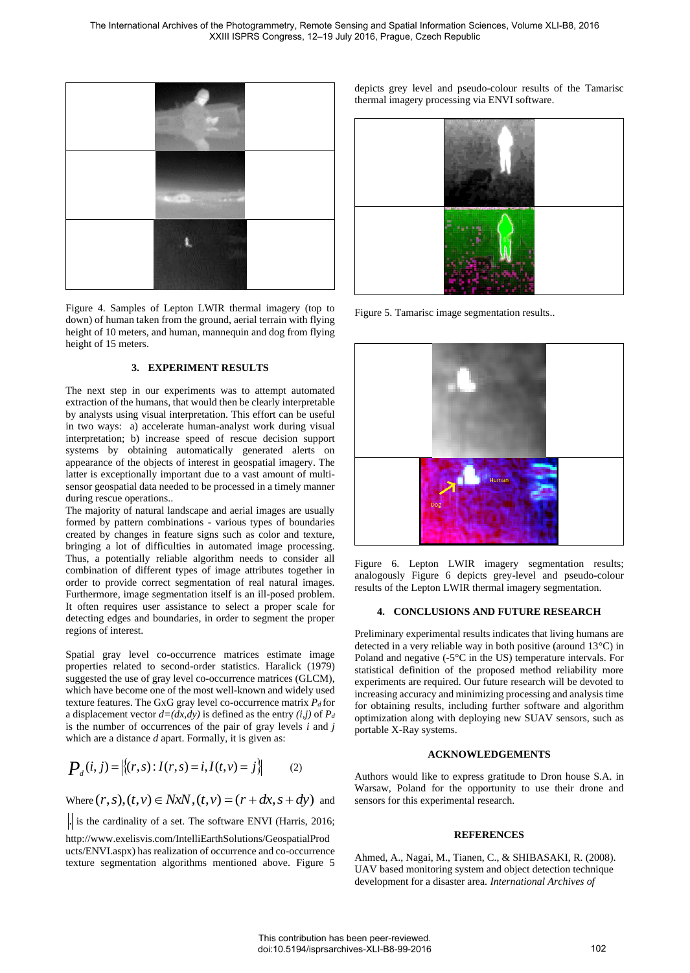

Figure 4. Samples of Lepton LWIR thermal imagery (top to down) of human taken from the ground, aerial terrain with flying height of 10 meters, and human, mannequin and dog from flying height of 15 meters.

## **3. EXPERIMENT RESULTS**

The next step in our experiments was to attempt automated extraction of the humans, that would then be clearly interpretable by analysts using visual interpretation. This effort can be useful in two ways: a) accelerate human-analyst work during visual interpretation; b) increase speed of rescue decision support systems by obtaining automatically generated alerts on appearance of the objects of interest in geospatial imagery. The latter is exceptionally important due to a vast amount of multisensor geospatial data needed to be processed in a timely manner during rescue operations..

The majority of natural landscape and aerial images are usually formed by pattern combinations - various types of boundaries created by changes in feature signs such as color and texture, bringing a lot of difficulties in automated image processing. Thus, a potentially reliable algorithm needs to consider all combination of different types of image attributes together in order to provide correct segmentation of real natural images. Furthermore, image segmentation itself is an ill-posed problem. It often requires user assistance to select a proper scale for detecting edges and boundaries, in order to segment the proper regions of interest.

Spatial gray level co-occurrence matrices estimate image properties related to second-order statistics. Haralick (1979) suggested the use of gray level co-occurrence matrices (GLCM), which have become one of the most well-known and widely used texture features. The GxG gray level co-occurrence matrix *P<sup>d</sup>* for a displacement vector  $d=(dx,dy)$  is defined as the entry  $(i,j)$  of  $P_d$ is the number of occurrences of the pair of gray levels *i* and *j* which are a distance *d* apart. Formally, it is given as:

$$
P_a(i,j) = |\{(r,s): I(r,s) = i, I(t,v) = j\}| \tag{2}
$$

Where  $(r, s), (t, v) \in NxN$ ,  $(t, v) = (r + dx, s + dy)$  and

. is the cardinality of a set. The software ENVI (Harris, 2016;

http://www.exelisvis.com/IntelliEarthSolutions/GeospatialProd ucts/ENVI.aspx) has realization of occurrence and co-occurrence texture segmentation algorithms mentioned above. Figure 5 depicts grey level and pseudo-colour results of the Tamarisc thermal imagery processing via ENVI software.



Figure 5. Tamarisc image segmentation results..



Figure 6. Lepton LWIR imagery segmentation results; analogously Figure 6 depicts grey-level and pseudo-colour results of the Lepton LWIR thermal imagery segmentation.

## **4. CONCLUSIONS AND FUTURE RESEARCH**

Preliminary experimental results indicates that living humans are detected in a very reliable way in both positive (around 13°C) in Poland and negative (-5°C in the US) temperature intervals. For statistical definition of the proposed method reliability more experiments are required. Our future research will be devoted to increasing accuracy and minimizing processing and analysis time for obtaining results, including further software and algorithm optimization along with deploying new SUAV sensors, such as portable X-Ray systems.

## **ACKNOWLEDGEMENTS**

Authors would like to express gratitude to Dron house S.A. in Warsaw, Poland for the opportunity to use their drone and sensors for this experimental research.

# **REFERENCES**

Ahmed, A., Nagai, M., Tianen, C., & SHIBASAKI, R. (2008). UAV based monitoring system and object detection technique development for a disaster area. *International Archives of*